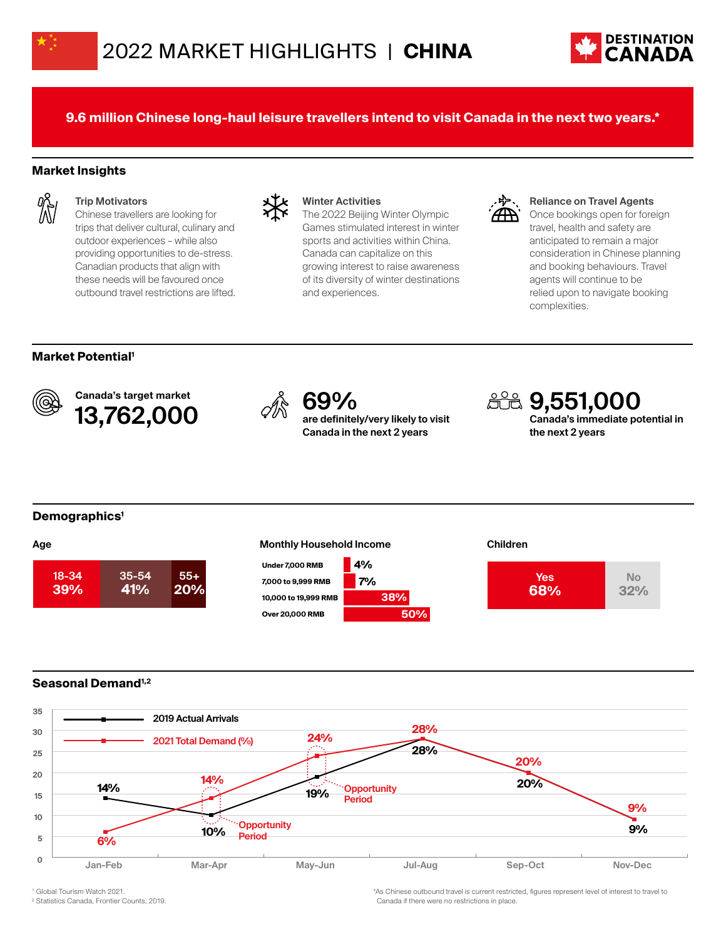



**9.6 million Chinese long-haul leisure travellers intend to visit Canada in the next two years.\***

# **Market Insights**



#### **Trip Motivators**

Chinese travellers are looking for trips that deliver cultural, culinary and outdoor experiences – while also providing opportunities to de-stress. Canadian products that align with these needs will be favoured once outbound travel restrictions are lifted.



#### **Winter Activities**

The 2022 Beijing Winter Olympic Games stimulated interest in winter sports and activities within China. Canada can capitalize on this growing interest to raise awareness of its diversity of winter destinations and experiences.



#### **Reliance on Travel Agents**

Once bookings open for foreign travel, health and safety are anticipated to remain a major consideration in Chinese planning and booking behaviours. Travel agents will continue to be relied upon to navigate booking complexities.

### **Market Potential1**



Canada's target market Canada's target market<br>**13,762,000**  $\qquad \qquad \oslash \qquad \qquad \circ \qquad \qquad \qquad \circ \qquad \qquad \qquad \bullet$  are definitel



**are definitely/very likely to visit Canada in the next 2 years**



**Canada's immediate potential in the next 2 years**

#### **Demographics1**

| 정도 시<br>×<br>×<br>I<br>I<br>×<br>$\sim$ |
|-----------------------------------------|
|                                         |

#### **Age Monthly Household Income Children income**







## **Seasonal Demand1,2**



1 Global Tourism Watch 2021.

2 Statistics Canada, Frontier Counts, 2019.

\*As Chinese outbound travel is current restricted, figures represent level of interest to travel to Canada if there were no restrictions in place.